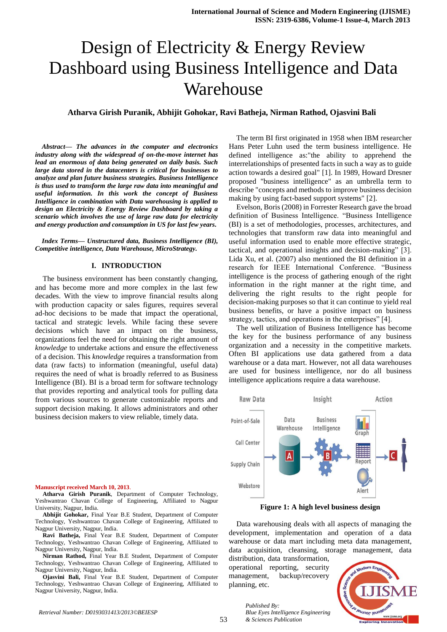# Design of Electricity & Energy Review Dashboard using Business Intelligence and Data Warehouse

# **Atharva Girish Puranik, Abhijit Gohokar, Ravi Batheja, Nirman Rathod, Ojasvini Bali**

*Abstract— The advances in the computer and electronics industry along with the widespread of on-the-move internet has lead an enormous of data being generated on daily basis. Such large data stored in the datacenters is critical for businesses to analyze and plan future business strategies. Business Intelligence is thus used to transform the large raw data into meaningful and useful information. In this work the concept of Business Intelligence in combination with Data warehousing is applied to design an Electricity & Energy Review Dashboard by taking a scenario which involves the use of large raw data for electricity and energy production and consumption in US for last few years.*

*Index Terms— Unstructured data, Business Intelligence (BI), Competitive intelligence, Data Warehouse, MicroStrategy.* 

## **I. INTRODUCTION**

The business environment has been constantly changing, and has become more and more complex in the last few decades. With the view to improve financial results along with production capacity or sales figures, requires several ad-hoc decisions to be made that impact the operational, tactical and strategic levels. While facing these severe decisions which have an impact on the business, organizations feel the need for obtaining the right amount of *knowledge* to undertake actions and ensure the effectiveness of a decision. This *knowledge* requires a transformation from data (raw facts) to information (meaningful, useful data) requires the need of what is broadly referred to as Business Intelligence (BI). BI is a broad term for software technology that provides reporting and analytical tools for pulling data from various sources to generate customizable reports and support decision making. It allows administrators and other business decision makers to view reliable, timely data.

**Manuscript received March 10, 2013**.

**Atharva Girish Puranik**, Department of Computer Technology, Yeshwantrao Chavan College of Engineering, Affiliated to Nagpur University, Nagpur, India.

**Abhijit Gohokar,** Final Year B.E Student, Department of Computer Technology, Yeshwantrao Chavan College of Engineering, Affiliated to Nagpur University, Nagpur, India.

**Ravi Batheja,** Final Year B.E Student, Department of Computer Technology, Yeshwantrao Chavan College of Engineering, Affiliated to Nagpur University, Nagpur, India.

**Nirman Rathod,** Final Year B.E Student, Department of Computer Technology, Yeshwantrao Chavan College of Engineering, Affiliated to Nagpur University, Nagpur, India.

**Ojasvini Bali,** Final Year B.E Student, Department of Computer Technology, Yeshwantrao Chavan College of Engineering, Affiliated to Nagpur University, Nagpur, India.

The term BI first originated in 1958 when IBM researcher Hans Peter Luhn used the term business intelligence. He defined intelligence as:"the ability to apprehend the interrelationships of presented facts in such a way as to guide action towards a desired goal" [1]. In 1989, Howard Dresner proposed "business intelligence" as an umbrella term to describe "concepts and methods to improve business decision making by using fact-based support systems" [2].

Evelson, Boris (2008) in Forrester Research gave the broad definition of Business Intelligence. "Business Intelligence (BI) is a set of methodologies, processes, architectures, and technologies that transform raw data into meaningful and useful information used to enable more effective strategic, tactical, and operational insights and decision-making" [3]. Lida Xu, et al. (2007) also mentioned the BI definition in a research for IEEE International Conference. "Business intelligence is the process of gathering enough of the right information in the right manner at the right time, and delivering the right results to the right people for decision-making purposes so that it can continue to yield real business benefits, or have a positive impact on business strategy, tactics, and operations in the enterprises" [4].

The well utilization of Business Intelligence has become the key for the business performance of any business organization and a necessity in the competitive markets. Often BI applications use data gathered from a data warehouse or a data mart. However, not all data warehouses are used for business intelligence, nor do all business intelligence applications require a data warehouse.



**Figure 1: A high level business design**

Data warehousing deals with all aspects of managing the development, implementation and operation of a data warehouse or data mart including meta data management, data acquisition, cleansing, storage management, data

distribution, data transformation, operational reporting, security management, backup/recovery planning, etc.

53



*Published By: Blue Eyes Intelligence Engineering & Sciences Publication*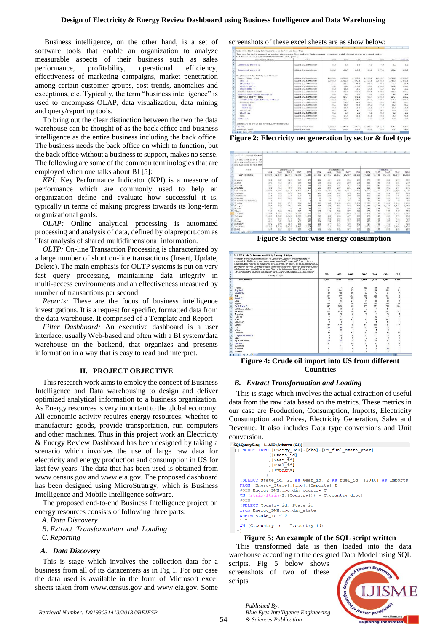Business intelligence, on the other hand, is a set of software tools that enable an organization to analyze measurable aspects of their business such as sales performance, profitability, operational efficiency, effectiveness of marketing campaigns, market penetration among certain customer groups, cost trends, anomalies and exceptions, etc. Typically, the term "business intelligence" is used to encompass OLAP, data visualization, data mining and query/reporting tools.

To bring out the clear distinction between the two the data warehouse can be thought of as the back office and business intelligence as the entire business including the back office. The business needs the back office on which to function, but the back office without a business to support, makes no sense. The following are some of the common terminologies that are employed when one talks about BI [5]:

*KPI:* Key Performance Indicator (KPI) is a measure of performance which are commonly used to help an organization define and evaluate how successful it is, typically in terms of making progress towards its long-term organizational goals.

*OLAP:* Online analytical processing is automated processing and analysis of data, defined by olapreport.com as "fast analysis of shared multidimensional information.

*OLTP:* On-line Transaction Processing is characterized by a large number of short on-line transactions (Insert, Update, Delete). The main emphasis for OLTP systems is put on very fast query processing, maintaining data integrity in multi-access environments and an effectiveness measured by number of transactions per second.

*Reports:* These are the focus of business intelligence investigations. It is a request for specific, formatted data from the data warehouse. It comprised of a Template and Report

*Filter Dashboard:* An executive dashboard is a user interface, usually Web-based and often with a BI system/data warehouse on the backend, that organizes and presents information in a way that is easy to read and interpret.

#### **II. PROJECT OBJECTIVE**

This research work aims to employ the concept of Business Intelligence and Data warehousing to design and deliver optimized analytical information to a business organization. As Energy resources is very important to the global economy. All economic activity requires energy resources, whether to manufacture goods, provide transportation, run computers and other machines. Thus in this project work an Electricity & Energy Review Dashboard has been designed by taking a scenario which involves the use of large raw data for electricity and energy production and consumption in US for last few years. The data that has been used is obtained from www.census.gov and [www.eia.gov.](http://www.eia.gov/) The proposed dashboard has been designed using MicroStratrgy, which is Business Intelligence and Mobile Intelligence software.

The proposed end-to-end Business Intelligence project on energy resources consists of following three parts:

*A. Data Discovery* 

*B. Extract Transformation and Loading* 

*C. Reporting*

## *A. Data Discovery*

This is stage which involves the collection data for a business from all of its datacenters as in Fig 1. For our case the data used is available in the form of Microsoft excel sheets taken from www.census.gov and [www.eia.gov.](http://www.eia.gov/) Some

screenshots of these excel sheets are as show below:

| Source and sector                                | Unit                         | 2004    | 2005    | 2006          | 2007    | 2008    | 2009    | 2010 \1 |
|--------------------------------------------------|------------------------------|---------|---------|---------------|---------|---------|---------|---------|
| Commercial mechor \2                             | Billion Wilmouthours         |         |         |               |         |         |         |         |
|                                                  |                              | 3.3     | 8.5     | 8(4)          | 8.3     | 7.9     | 8.2     | 8.3     |
| Industrial sector \3                             | Billion kilowatthours        | 153.9   | 144.7   | 148.3         | 143.1   | 137.1   | 132.3   | 140.5   |
|                                                  |                              |         |         |               |         |         |         |         |
| Het seneration by source, all sectors:           |                              |         |         |               |         |         |         |         |
| Fossil fuels, total                              | Rillian Vilmostrhnura        | 2,824.8 | 2,909.5 | 2,885,3       | 2.992.2 | 2,926.7 | 2.726.5 | 2,880.7 |
| Cost \4                                          | Billion Wilowstchours        | 1,978.3 | 2,012.9 | 1,990.5       | 2,016.5 | 1.985.8 | 1.755.9 | 1,650.0 |
| Petroleum \5                                     | Billion kilowatthours        | 121.1   | 122.2   | 64.2          | 45.7    | 46.2    | 35.9    | 36.9    |
| Hatural sas \6                                   | <b>Billion</b> kilowatthours | 710.1   | 761.0   | 816.4         | 896.6   | 883.0   | 921.0   | 951.8   |
| Other gases 17                                   | Billion kilowatthours        | 15.3    | 13.5    | 34.2          | 13.5    | 11.7    | 10.6    | 11.2    |
| Huolear electric cover                           | Billion kilowatthours        | 788.5   | 782.0   | 787.2         | 806.4   | 806.2   | 798.9   | 807.0   |
| Hydroelectric pumped storage \8                  | Sillion kilowatthours        | $-8.5$  | $-6.5$  | $-6.6$        | $-4.9$  | $-6.3$  | $-1.5$  | $-4.1$  |
| Renewable energy, total                          | Rillion Wilcomstheors        | 351.5   | 357.7   | 385.8         | 352.7   | 380.9   | 417.7   | 425.2   |
| Conventional hydroelectric cover \9              | Billion kilowatthours        | 266.4   | 270.3   | 289.2         | 247.5   | 254.8   | 275.4   | 257.1   |
| Bicmass, total                                   | <b>Billing Vilouatthours</b> | 53.5    | 54.3    | 54.9          | 55.5    | 55.0    | 54.5    | 56.5    |
| Wood \10                                         | Billica kilowatthours        | 38.1    | 38.9    | 38.8          | 39.0    | 37.3    | 36.1    | 38.0    |
| Waste 111                                        | Billion kilowatthours        | 15.4    | 15.4    | 16.1          | 16.5    | 17.7    | 18.4    | 18.6    |
| Genrhaves!                                       | Rilling Vilouatrhouse        | 14.8    | 14.7    | 14.6          | 14.6    | 14.8    | 15.0    | 15.7    |
| Solar 102                                        | <b>Million</b> Wilmoatthours | 0.6     | 0.4     | 0.5           | 0.6     | 0.9     | 0.9     | 3.3     |
| Wind                                             | Billion kilowatthours        | 14.1    | 17.8    | 26.6          | 34.5    | 55.4    | 73.9    | 94.6    |
| Other \13                                        | Rilling kilometchnore        | 14.7    | 12.6    | 13.3          | 12.5    | 11.4    | 11.6    | 11.2    |
|                                                  |                              |         |         |               |         |         |         |         |
| Consumption of fuels for electricity peneration: |                              |         |         |               |         |         |         |         |
| or Coal 14                                       | Million shows tone           | 1,020.5 | 1.041.4 | 1.030.6       | 1.046.8 | 1.042.3 | 934.7   | 979.6   |
| 33 Petroleum, total                              | Million barrels              | 203.5   | 206.8   | 110.6<br>A vi | 112.6   | 80.9    | 47.7    | 64.5    |

**Figure 2: Electricity net generation by sector & fuel type**

|                                                                                      | $\mathbf{x}$                         |          |        | 22     | $\lambda$ B                          | AC.    | 20     | AE     | $\lambda$ <sup>2</sup>               | 38         | AH      | <b>AI</b> | $\lambda^*$ | 38     | AL.    |
|--------------------------------------------------------------------------------------|--------------------------------------|----------|--------|--------|--------------------------------------|--------|--------|--------|--------------------------------------|------------|---------|-----------|-------------|--------|--------|
| Table 931, Energy Consump                                                            |                                      |          |        |        |                                      |        |        |        |                                      |            |         |           |             |        |        |
| (In trillions of Btu, (84)<br>data are preliminary. 0.5<br>not allocated to the stat |                                      |          |        |        |                                      |        |        |        |                                      |            |         |           |             |        |        |
| State                                                                                | Industrial (2                        |          |        |        | Transportation                       |        |        |        | Fetroleum \\$                        |            |         |           |             |        |        |
|                                                                                      | 2007<br>2004<br>2006<br>2008<br>2005 |          |        |        | 2004<br>2006<br>2007<br>2008<br>2005 |        |        |        | 2008<br>2004<br>2005<br>2006<br>2007 |            |         |           |             |        |        |
| <b>United States</b>                                                                 | 33,595                               | 32,530   | 32,465 | 32,455 | 31,356                               | 27,900 | 28,381 | 28,810 | 29,089                               | 28,010     | 40.593  | 40,733    | 40.420      | 40,358 | 38,102 |
| Alabams                                                                              | 989                                  | 967      | 964    | 941    | \$05                                 | 494    | 491    | 498    | 804                                  | 480        | 635     | 631       | 634         | 626    | 598    |
| 0 Alaska                                                                             | 390                                  | 218      | 25.5   | 256    | 318                                  | 286    | 264    | 266    | 250                                  | 215        | 225     | 333       | 342         | 324    | 279    |
| Arizona                                                                              | 231                                  | 228      | 234    | 234    | 244                                  | 512    | 534    | 552    | 547                                  | 519        | 563     | 591       | 601         | 595    | 574    |
| Arkansas                                                                             | 464                                  | 455      | 169    | 463    | 433                                  | 289    | 290    | 290    | 285                                  | 292        | 389     | 384       | 385         | 387    | 376    |
| California                                                                           | 2.053                                | 2.001    | 1.978  | 1,958  | 1.935                                | 3,202  | 3.291  | 3,343  | 3,387                                | 3,218      | 3,785   | 3.765     | 3.917       | 3,946  | 3,736  |
| Colorado                                                                             | 375                                  | 386      | 394    | 404    | 412                                  | 418    | 424    | 434    | 446                                  | 4.31       | 5DD     | 494       | 514         | 523    | 504    |
| Connecticut                                                                          | 124                                  | 125      | 119    | 115    | 96                                   | 285    | 264    | 258    | 260                                  | 249        | 470     | 453       | 408         | -397   | 362    |
| Delaware                                                                             | 109                                  | 110      | 105    | 101    | 38                                   | 69     | $+5$   | 78     | 76                                   | 23         | 141     | 149       | 1.18        | 136    | 128    |
| District of Columbia                                                                 | k,                                   | A.       | ×      | g      | k.                                   | 27     | 23     | 21     | $\overline{21}$                      | 20         | $_{31}$ | 23        | 23          | 23     | 20     |
| Florida                                                                              | 556                                  | 561      | 577    | 556    | 540                                  | 1,551  | 1.598  | 1,630  | 1,614                                | 1.528      | 2,120   | 2.161     | 2,053       | 1.983  | 1.608  |
| Georgia                                                                              | 935                                  | 926      | 921    | 222    | 812                                  | 927    | 969    | 954    | 935                                  | 091        | 1,118   | 1,189     | 1,130       | 1,100  | 1.029  |
| <b>RAMAII</b>                                                                        | 47                                   | 71       | 70     | 68     | 45                                   | 172    | 179    | 182    | 195                                  | 138        | 282     | 295       | 297         | 306    | 248    |
| Ideho                                                                                | 190                                  | 188      | 154    | 187    | 187                                  | 122    | 124    | 132    | 137                                  | 128        | 157     | 141       | 167         | 166    | 189    |
| Tilinois                                                                             | 1,293                                | 1.275    | 1.234  | 1.249  | 1,237                                | 1,007  | 1,111  | 1,057  | 1,063                                | 1,027      | 1,378   | 1,489     | 1.427       | 1.418  | 1,367  |
| Indiana                                                                              | 1,408                                | 1.362    | 1,343  | 1,380  | 1,302                                | 641    | 646    | 859    | 647                                  | 620        | 900     | 895       | 598         | 878    | 834    |
| L Town                                                                               | \$30                                 | 555      | 573    | 627    | 654                                  | 297    | 302    | 308    | 316                                  | 309        | 439     | 446       | 453         | 442    | 428    |
| <b>SAngar</b>                                                                        | 411                                  | 361      | 386    | 438    | 420                                  | 274    | 259    | 273    | 282                                  | 278        | 428     | 357       | 367         | 425    | 408    |
| Mentucky                                                                             | 892                                  | 892      | 903    | 595    | 891                                  | 485    | 477    | 474    | 495                                  | 461        | 757     | 753       | 755         | 749    | 698    |
| Louisiana                                                                            | 2,388                                | 2.253    | 2.416  | 2.402  | 2.204                                | 758    | 718    | 772    | 714                                  | 851        | 1,651   | 1,588     | 1,705       | 1,600  | 1,450  |
| Maine                                                                                | 153                                  | 167      | 3.65   | 156    | 177                                  | 122    | 131    | 131    | 127                                  | 119        | 261     | 265       | 236         | 256    | 210    |
| $4 + 11$ 931 2                                                                       |                                      | $\cdots$ |        |        | 4,644                                | $\sim$ |        | -      | --                                   | <b>139</b> |         |           |             |        | --     |

**Figure 3: Sector wise energy consumption**



**Figure 4: Crude oil import into US from different Countries**

#### *B. Extract Transformation and Loading*

This is stage which involves the actual extraction of useful data from the raw data based on the metrics. These metrics in our case are Production, Consumption, Imports, Electricity Consumption and Prices, Electricity Generation, Sales and Revenue. It also includes Data type conversions and Unit conversion.

```
SQLQuery5.sql - I...AIO\Atharva (61))
   Liquery Saq - M. ANOVARATOR (ENERGY DWH).<br>||INSERT INTO [ENERGY DWH].[dbo].[FA_fuel_state_year]<br>| ([State_id]
                          Treaton<br>Treat_id],<br>Truel_id]
                          , [Imports]
    )<br>
(SELECT state_id, 21 as year_id, 2 as fuel_id, [2010] as Imports<br>
FROM [Energy_Stage].[dbo].[Imports] I<br>
JOIN Energy_DWH.dbo.dim_country C<br>
ON (trim(ltrim(I.[Country])) = C.country_desc)
    JOIN
     (SELECT Country_id, State_id
    from Energy_DWH.dbo.dim_state<br>where state_id < 0
    ON (C.country id = T.country id)
```
**Figure 5: An example of the SQL script written**

This transformed data is then loaded into the data warehouse according to the designed Data Model using SQL

scripts. Fig 5 below shows screenshots of two of these scripts

*Published By:*

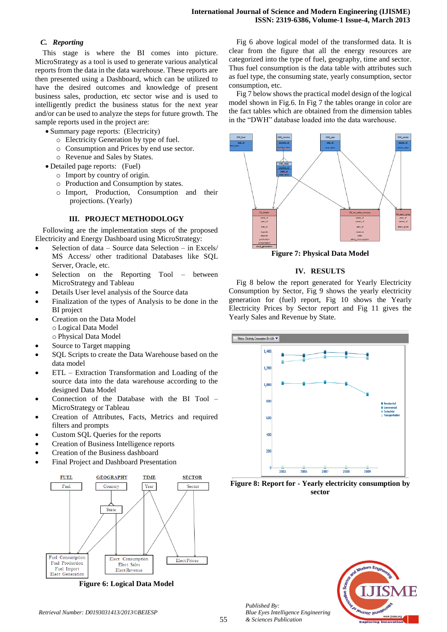# *C. Reporting*

This stage is where the BI comes into picture. MicroStrategy as a tool is used to generate various analytical reports from the data in the data warehouse. These reports are then presented using a Dashboard, which can be utilized to have the desired outcomes and knowledge of present business sales, production, etc sector wise and is used to intelligently predict the business status for the next year and/or can be used to analyze the steps for future growth. The sample reports used in the project are:

- Summary page reports: (Electricity)
	- o Electricity Generation by type of fuel.
	- o Consumption and Prices by end use sector.
	- o Revenue and Sales by States.
- Detailed page reports: (Fuel)
	- o Import by country of origin.
	- o Production and Consumption by states.
	- o Import, Production, Consumption and their projections. (Yearly)

# **III. PROJECT METHODOLOGY**

Following are the implementation steps of the proposed Electricity and Energy Dashboard using MicroStrategy:

- Selection of data Source data Selection in Excels/ MS Access/ other traditional Databases like SQL Server, Oracle, etc.
- Selection on the Reporting Tool between MicroStrategy and Tableau
- Details User level analysis of the Source data
- Finalization of the types of Analysis to be done in the BI project
- Creation on the Data Model o Logical Data Model o Physical Data Model
- Source to Target mapping
- SQL Scripts to create the Data Warehouse based on the data model
- ETL Extraction Transformation and Loading of the source data into the data warehouse according to the designed Data Model
- Connection of the Database with the BI Tool MicroStrategy or Tableau
- Creation of Attributes, Facts, Metrics and required filters and prompts
- Custom SQL Queries for the reports
- Creation of Business Intelligence reports
- Creation of the Business dashboard
- Final Project and Dashboard Presentation



**Figure 6: Logical Data Model**

Fig 6 above logical model of the transformed data. It is clear from the figure that all the energy resources are categorized into the type of fuel, geography, time and sector. Thus fuel consumption is the data table with attributes such as fuel type, the consuming state, yearly consumption, sector consumption, etc.

Fig 7 below shows the practical model design of the logical model shown in Fig.6. In Fig 7 the tables orange in color are the fact tables which are obtained from the dimension tables in the "DWH" database loaded into the data warehouse.



**Figure 7: Physical Data Model**

# **IV. RESULTS**

Fig 8 below the report generated for Yearly Electricity Consumption by Sector, Fig 9 shows the yearly electricity generation for (fuel) report, Fig 10 shows the Yearly Electricity Prices by Sector report and Fig 11 gives the Yearly Sales and Revenue by State.



**Figure 8: Report for - Yearly electricity consumption by sector**

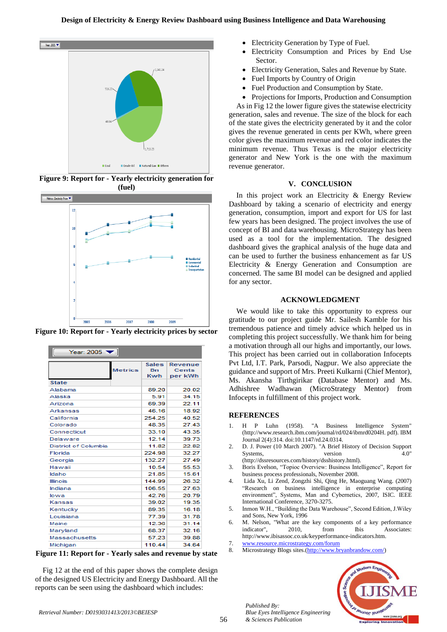### **Design of Electricity & Energy Review Dashboard using Business Intelligence and Data Warehousing**



**Figure 9: Report for - Yearly electricity generation for (fuel)**



**Figure 10: Report for - Yearly electricity prices by sector**

| Year: $2005$                   |                                  |                                    |  |  |  |  |  |
|--------------------------------|----------------------------------|------------------------------------|--|--|--|--|--|
| <b>Metrics</b><br><b>State</b> | <b>Sales</b><br><b>Bn</b><br>Kwh | Revenue<br><b>Cents</b><br>per kWh |  |  |  |  |  |
| Alabama                        | 89.20                            | 20.02                              |  |  |  |  |  |
| Alaska                         | 5.91                             | 34.15                              |  |  |  |  |  |
| Arizona                        | 69.39                            | 22.11                              |  |  |  |  |  |
| Arkansas                       | 46.16                            | 18.92                              |  |  |  |  |  |
| California                     | 254.25                           | 40.52                              |  |  |  |  |  |
| Colorado                       | 48.35                            | 27.43                              |  |  |  |  |  |
| Connecticut                    | 33.10                            | 43.35                              |  |  |  |  |  |
| Delaware                       | 12.14                            | 39.73                              |  |  |  |  |  |
| <b>District of Columbia</b>    | 11.82                            | 22.82                              |  |  |  |  |  |
| Florida                        | 224.98                           | 32.27                              |  |  |  |  |  |
| Georgia                        | 132.27                           | 27.49                              |  |  |  |  |  |
| Hawaii                         | 10.54                            | 55.53                              |  |  |  |  |  |
| Idaho                          | 21.85                            | 15.61                              |  |  |  |  |  |
| <b>Illinois</b>                | 144.99                           | 26.32                              |  |  |  |  |  |
| Indiana                        | 106.55                           | 27.63                              |  |  |  |  |  |
| lowa                           | 42.76                            | 20.79                              |  |  |  |  |  |
| Kansas                         | 39.02                            | 19.35                              |  |  |  |  |  |
| Kentucky                       | 89.35                            | 16.18                              |  |  |  |  |  |
| Louisiana                      | 77.39                            | 31.78                              |  |  |  |  |  |
| Maine                          | 12.36                            | 31.14                              |  |  |  |  |  |
| Maryland                       | 68.37                            | 32.16                              |  |  |  |  |  |
| <b>Massachusetts</b>           | 57.23                            | 39.88                              |  |  |  |  |  |
| Michigan                       | 110.44                           | 34.64                              |  |  |  |  |  |

**Figure 11: Report for - Yearly sales and revenue by state**

Fig 12 at the end of this paper shows the complete design of the designed US Electricity and Energy Dashboard. All the reports can be seen using the dashboard which includes:

- Electricity Generation by Type of Fuel.
- Electricity Consumption and Prices by End Use Sector.
- Electricity Generation, Sales and Revenue by State.
- Fuel Imports by Country of Origin
- Fuel Production and Consumption by State.
- Projections for Imports, Production and Consumption

As in Fig 12 the lower figure gives the statewise electricity generation, sales and revenue. The size of the block for each of the state gives the electricity generated by it and the color gives the revenue generated in cents per KWh, where green color gives the maximum revenue and red color indicates the minimum revenue. Thus Texas is the major electricity generator and New York is the one with the maximum revenue generator.

## **V. CONCLUSION**

In this project work an Electricity & Energy Review Dashboard by taking a scenario of electricity and energy generation, consumption, import and export for US for last few years has been designed. The project involves the use of concept of BI and data warehousing. MicroStrategy has been used as a tool for the implementation. The designed dashboard gives the graphical analysis of the huge data and can be used to further the business enhancement as far US Electricity & Energy Generation and Consumption are concerned. The same BI model can be designed and applied for any sector.

# **ACKNOWLEDGMENT**

We would like to take this opportunity to express our gratitude to our project guide Mr. Sailesh Kamble for his tremendous patience and timely advice which helped us in completing this project successfully. We thank him for being a motivation through all our highs and importantly, our lows. This project has been carried out in collaboration Infocepts Pvt Ltd, I.T. Park, Parsodi, Nagpur. We also appreciate the guidance and support of Mrs. Preeti Kulkarni (Chief Mentor), Ms. Akansha Tirthgirikar (Database Mentor) and Ms. Adhishree Wadhawan (MicroStrategy Mentor) from Infocepts in fulfillment of this project work.

#### **REFERENCES**

- 1. H P Luhn (1958). "A Business Intelligence System" (http://www.research.ibm.com/journal/rd/024/ibmrd0204H. pdf). IBM Journal 2(4):314. doi:10.1147/rd.24.0314.
- 2. D. J. Power (10 March 2007). "A Brief History of Decision Support Systems, version 4.0" (http://dssresources.com/history/dsshistory.html).
- 3. Boris Evelson, "Topioc Overview: Business Intelligence", Report for business process professionals, November 2008.
- 4. Lida Xu, Li Zend, Zongzhi Shi, Qing He, Maoguang Wang. (2007) "Research on business intelligence in enterprise computing environment", Systems, Man and Cybernetics, 2007, ISIC. IEEE International Conference, 3270-3275.
- 5. Inmon W.H., "Building the Data Warehouse", Second Edition, J.Wiley and Sons, New York, 1996
- 6. M. Nelson, "What are the key components of a key performance indicator", 2010, from This Associates: http://www.ibisassoc.co.uk/keyperformance-indicators.htm.
- 7. [www.resource.microstrategy.com/forum](http://www.resource.microstrategy.com/forum)

*Blue Eyes Intelligence Engineering* 

*Published By:*

*& Sciences Publication* 

8. Microstrategy Blogs sites.[\(http://www.bryanbrandow.com/\)](http://www.bryanbrandow.com/)